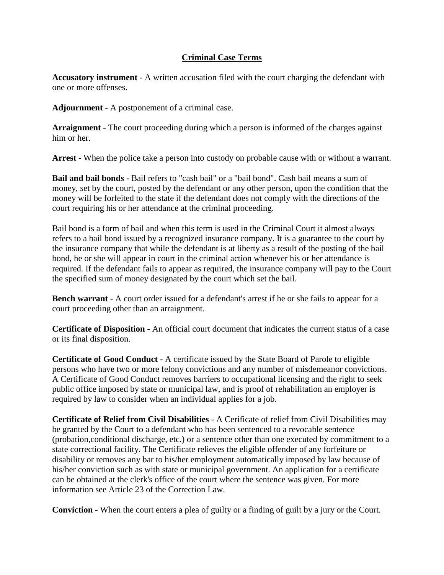## **Criminal Case Terms**

**Accusatory instrument** - A written accusation filed with the court charging the defendant with one or more offenses.

**Adjournment** - A postponement of a criminal case.

**Arraignment** - The court proceeding during which a person is informed of the charges against him or her.

**Arrest -** When the police take a person into custody on probable cause with or without a warrant.

**Bail and bail bonds -** Bail refers to "cash bail" or a "bail bond". Cash bail means a sum of money, set by the court, posted by the defendant or any other person, upon the condition that the money will be forfeited to the state if the defendant does not comply with the directions of the court requiring his or her attendance at the criminal proceeding.

Bail bond is a form of bail and when this term is used in the Criminal Court it almost always refers to a bail bond issued by a recognized insurance company. It is a guarantee to the court by the insurance company that while the defendant is at liberty as a result of the posting of the bail bond, he or she will appear in court in the criminal action whenever his or her attendance is required. If the defendant fails to appear as required, the insurance company will pay to the Court the specified sum of money designated by the court which set the bail.

**Bench warrant** - A court order issued for a defendant's arrest if he or she fails to appear for a court proceeding other than an arraignment.

**Certificate of Disposition -** An official court document that indicates the current status of a case or its final disposition.

**Certificate of Good Conduct** - A certificate issued by the State Board of Parole to eligible persons who have two or more felony convictions and any number of misdemeanor convictions. A Certificate of Good Conduct removes barriers to occupational licensing and the right to seek public office imposed by state or municipal law, and is proof of rehabilitation an employer is required by law to consider when an individual applies for a job.

**Certificate of Relief from Civil Disabilities** - A Cerificate of relief from Civil Disabilities may be granted by the Court to a defendant who has been sentenced to a revocable sentence (probation,conditional discharge, etc.) or a sentence other than one executed by commitment to a state correctional facility. The Certificate relieves the eligible offender of any forfeiture or disability or removes any bar to his/her employment automatically imposed by law because of his/her conviction such as with state or municipal government. An application for a certificate can be obtained at the clerk's office of the court where the sentence was given. For more information see Article 23 of the Correction Law.

**Conviction** - When the court enters a plea of guilty or a finding of guilt by a jury or the Court.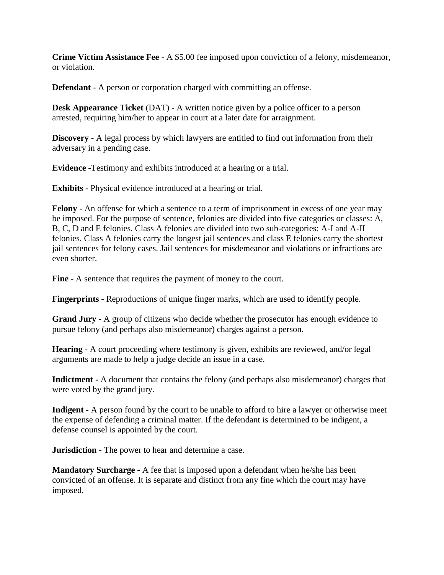**Crime Victim Assistance Fee** - A \$5.00 fee imposed upon conviction of a felony, misdemeanor, or violation.

**Defendant** - A person or corporation charged with committing an offense.

**Desk Appearance Ticket** (DAT) - A written notice given by a police officer to a person arrested, requiring him/her to appear in court at a later date for arraignment.

**Discovery** - A legal process by which lawyers are entitled to find out information from their adversary in a pending case.

**Evidence** -Testimony and exhibits introduced at a hearing or a trial.

**Exhibits -** Physical evidence introduced at a hearing or trial.

**Felony** - An offense for which a sentence to a term of imprisonment in excess of one year may be imposed. For the purpose of sentence, felonies are divided into five categories or classes: A, B, C, D and E felonies. Class A felonies are divided into two sub-categories: A-I and A-II felonies. Class A felonies carry the longest jail sentences and class E felonies carry the shortest jail sentences for felony cases. Jail sentences for misdemeanor and violations or infractions are even shorter.

**Fine -** A sentence that requires the payment of money to the court.

**Fingerprints -** Reproductions of unique finger marks, which are used to identify people.

**Grand Jury** - A group of citizens who decide whether the prosecutor has enough evidence to pursue felony (and perhaps also misdemeanor) charges against a person.

**Hearing** - A court proceeding where testimony is given, exhibits are reviewed, and/or legal arguments are made to help a judge decide an issue in a case.

**Indictment -** A document that contains the felony (and perhaps also misdemeanor) charges that were voted by the grand jury.

**Indigent** - A person found by the court to be unable to afford to hire a lawyer or otherwise meet the expense of defending a criminal matter. If the defendant is determined to be indigent, a defense counsel is appointed by the court.

**Jurisdiction** - The power to hear and determine a case.

**Mandatory Surcharge** - A fee that is imposed upon a defendant when he/she has been convicted of an offense. It is separate and distinct from any fine which the court may have imposed.